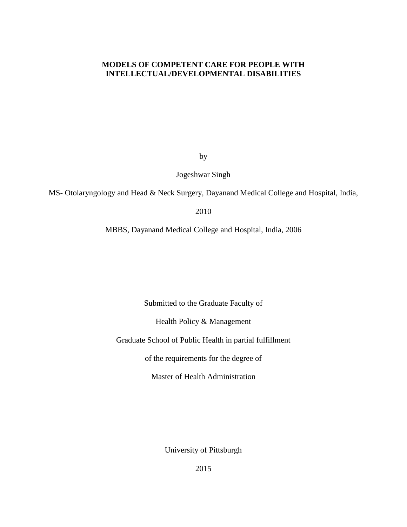## **MODELS OF COMPETENT CARE FOR PEOPLE WITH INTELLECTUAL/DEVELOPMENTAL DISABILITIES**

by

Jogeshwar Singh

MS- Otolaryngology and Head & Neck Surgery, Dayanand Medical College and Hospital, India,

2010

MBBS, Dayanand Medical College and Hospital, India, 2006

Submitted to the Graduate Faculty of

Health Policy & Management

Graduate School of Public Health in partial fulfillment

of the requirements for the degree of

Master of Health Administration

University of Pittsburgh

2015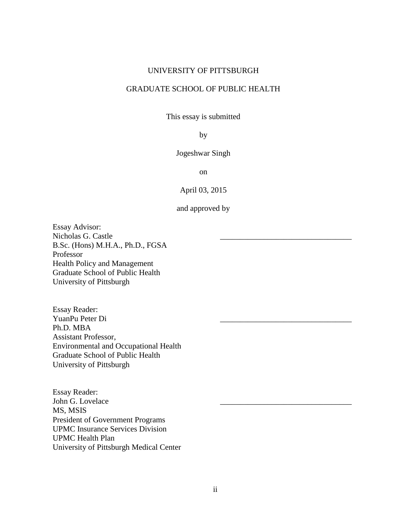## UNIVERSITY OF PITTSBURGH

# GRADUATE SCHOOL OF PUBLIC HEALTH

This essay is submitted

## by

Jogeshwar Singh

on

April 03, 2015

and approved by

Essay Advisor: Nicholas G. Castle \_\_\_\_\_\_\_\_\_\_\_\_\_\_\_\_\_\_\_\_\_\_\_\_\_\_\_\_\_\_\_\_\_ B.Sc. (Hons) M.H.A., Ph.D., FGSA Professor Health Policy and Management Graduate School of Public Health University of Pittsburgh

Essay Reader: YuanPu Peter Di Ph.D. MBA Assistant Professor, Environmental and Occupational Health Graduate School of Public Health University of Pittsburgh

Essay Reader: John G. Lovelace MS, MSIS President of Government Programs UPMC Insurance Services Division UPMC Health Plan University of Pittsburgh Medical Center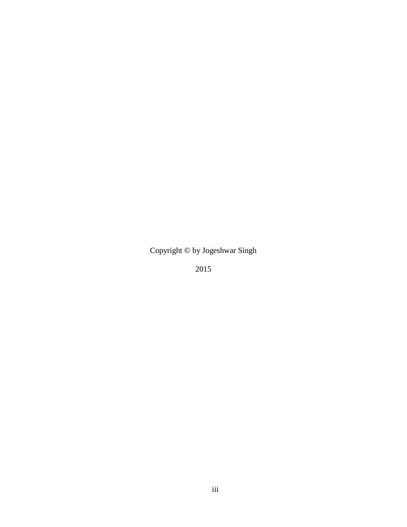Copyright © by Jogeshwar Singh

2015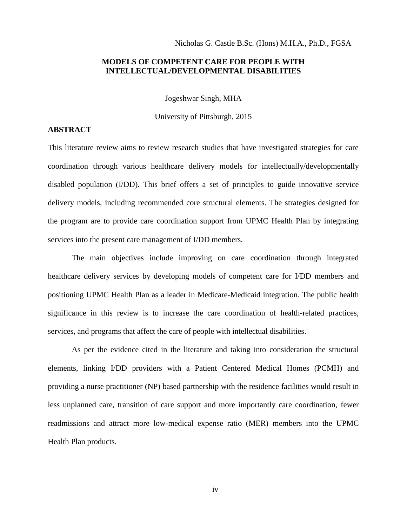#### Nicholas G. Castle B.Sc. (Hons) M.H.A., Ph.D., FGSA

## **MODELS OF COMPETENT CARE FOR PEOPLE WITH INTELLECTUAL/DEVELOPMENTAL DISABILITIES**

Jogeshwar Singh, MHA

University of Pittsburgh, 2015

# **ABSTRACT**

This literature review aims to review research studies that have investigated strategies for care coordination through various healthcare delivery models for intellectually/developmentally disabled population (I/DD). This brief offers a set of principles to guide innovative service delivery models, including recommended core structural elements. The strategies designed for the program are to provide care coordination support from UPMC Health Plan by integrating services into the present care management of I/DD members.

The main objectives include improving on care coordination through integrated healthcare delivery services by developing models of competent care for I/DD members and positioning UPMC Health Plan as a leader in Medicare-Medicaid integration. The public health significance in this review is to increase the care coordination of health-related practices, services, and programs that affect the care of people with intellectual disabilities.

As per the evidence cited in the literature and taking into consideration the structural elements, linking I/DD providers with a Patient Centered Medical Homes (PCMH) and providing a nurse practitioner (NP) based partnership with the residence facilities would result in less unplanned care, transition of care support and more importantly care coordination, fewer readmissions and attract more low-medical expense ratio (MER) members into the UPMC Health Plan products.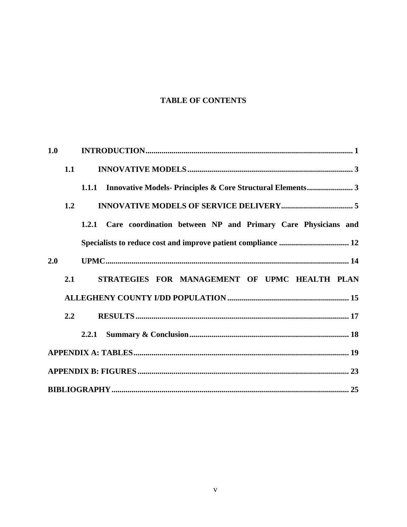# **TABLE OF CONTENTS**

| 1.0 |     |     |  |  |  |                                                                    |  |  |  |  |  |  |
|-----|-----|-----|--|--|--|--------------------------------------------------------------------|--|--|--|--|--|--|
|     | 1.1 |     |  |  |  |                                                                    |  |  |  |  |  |  |
|     |     |     |  |  |  |                                                                    |  |  |  |  |  |  |
|     | 1.2 |     |  |  |  |                                                                    |  |  |  |  |  |  |
|     |     |     |  |  |  | 1.2.1 Care coordination between NP and Primary Care Physicians and |  |  |  |  |  |  |
|     |     |     |  |  |  |                                                                    |  |  |  |  |  |  |
| 2.0 |     |     |  |  |  |                                                                    |  |  |  |  |  |  |
|     | 2.1 |     |  |  |  | STRATEGIES FOR MANAGEMENT OF UPMC HEALTH PLAN                      |  |  |  |  |  |  |
|     |     |     |  |  |  |                                                                    |  |  |  |  |  |  |
|     |     | 2.2 |  |  |  |                                                                    |  |  |  |  |  |  |
|     |     |     |  |  |  |                                                                    |  |  |  |  |  |  |
|     |     |     |  |  |  |                                                                    |  |  |  |  |  |  |
|     |     |     |  |  |  |                                                                    |  |  |  |  |  |  |
|     |     |     |  |  |  |                                                                    |  |  |  |  |  |  |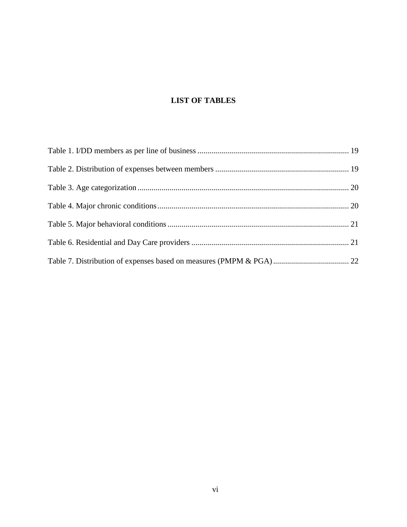# **LIST OF TABLES**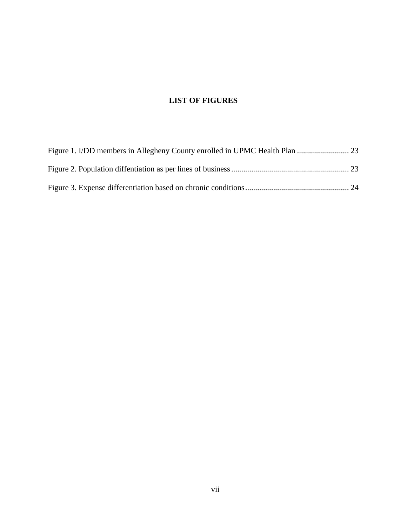# **LIST OF FIGURES**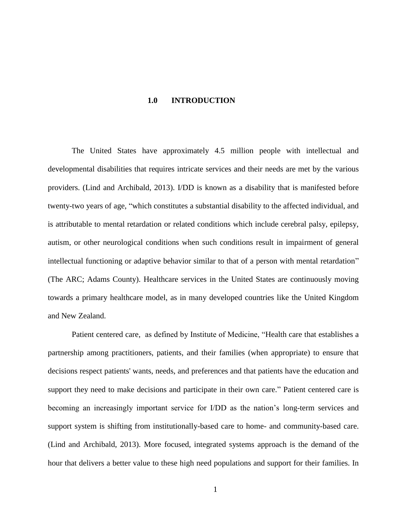#### **1.0 INTRODUCTION**

<span id="page-7-0"></span>The United States have approximately 4.5 million people with intellectual and developmental disabilities that requires intricate services and their needs are met by the various providers. (Lind and Archibald, 2013). I/DD is known as a disability that is manifested before twenty-two years of age, "which constitutes a substantial disability to the affected individual, and is attributable to mental retardation or related conditions which include cerebral palsy, epilepsy, autism, or other neurological conditions when such conditions result in impairment of general intellectual functioning or adaptive behavior similar to that of a person with mental retardation" (The ARC; Adams County). Healthcare services in the United States are continuously moving towards a primary healthcare model, as in many developed countries like the United Kingdom and New Zealand.

Patient centered care, as defined by Institute of Medicine, "Health care that establishes a partnership among practitioners, patients, and their families (when appropriate) to ensure that decisions respect patients' wants, needs, and preferences and that patients have the education and support they need to make decisions and participate in their own care." Patient centered care is becoming an increasingly important service for I/DD as the nation's long-term services and support system is shifting from institutionally-based care to home- and community-based care. (Lind and Archibald, 2013). More focused, integrated systems approach is the demand of the hour that delivers a better value to these high need populations and support for their families. In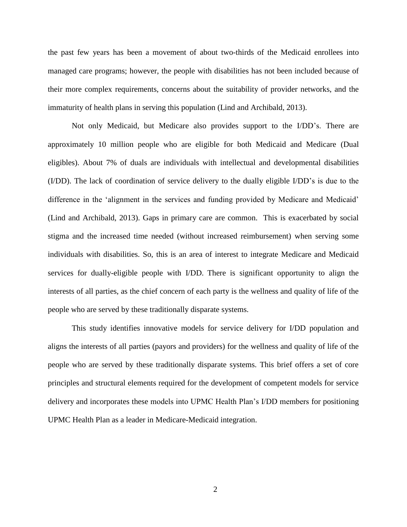the past few years has been a movement of about two-thirds of the Medicaid enrollees into managed care programs; however, the people with disabilities has not been included because of their more complex requirements, concerns about the suitability of provider networks, and the immaturity of health plans in serving this population (Lind and Archibald, 2013).

Not only Medicaid, but Medicare also provides support to the I/DD's. There are approximately 10 million people who are eligible for both Medicaid and Medicare (Dual eligibles). About 7% of duals are individuals with intellectual and developmental disabilities (I/DD). The lack of coordination of service delivery to the dually eligible I/DD's is due to the difference in the 'alignment in the services and funding provided by Medicare and Medicaid' (Lind and Archibald, 2013). Gaps in primary care are common. This is exacerbated by social stigma and the increased time needed (without increased reimbursement) when serving some individuals with disabilities. So, this is an area of interest to integrate Medicare and Medicaid services for dually-eligible people with I/DD. There is significant opportunity to align the interests of all parties, as the chief concern of each party is the wellness and quality of life of the people who are served by these traditionally disparate systems.

This study identifies innovative models for service delivery for I/DD population and aligns the interests of all parties (payors and providers) for the wellness and quality of life of the people who are served by these traditionally disparate systems. This brief offers a set of core principles and structural elements required for the development of competent models for service delivery and incorporates these models into UPMC Health Plan's I/DD members for positioning UPMC Health Plan as a leader in Medicare-Medicaid integration.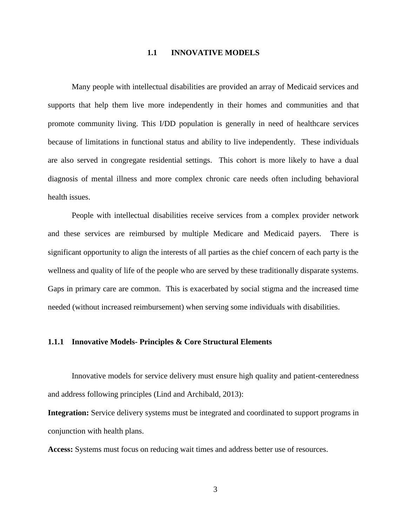#### **1.1 INNOVATIVE MODELS**

<span id="page-9-0"></span>Many people with intellectual disabilities are provided an array of Medicaid services and supports that help them live more independently in their homes and communities and that promote community living. This I/DD population is generally in need of healthcare services because of limitations in functional status and ability to live independently. These individuals are also served in congregate residential settings. This cohort is more likely to have a dual diagnosis of mental illness and more complex chronic care needs often including behavioral health issues.

People with intellectual disabilities receive services from a complex provider network and these services are reimbursed by multiple Medicare and Medicaid payers. There is significant opportunity to align the interests of all parties as the chief concern of each party is the wellness and quality of life of the people who are served by these traditionally disparate systems. Gaps in primary care are common. This is exacerbated by social stigma and the increased time needed (without increased reimbursement) when serving some individuals with disabilities.

#### <span id="page-9-1"></span>**1.1.1 Innovative Models- Principles & Core Structural Elements**

Innovative models for service delivery must ensure high quality and patient-centeredness and address following principles (Lind and Archibald, 2013):

**Integration:** Service delivery systems must be integrated and coordinated to support programs in conjunction with health plans.

**Access:** Systems must focus on reducing wait times and address better use of resources.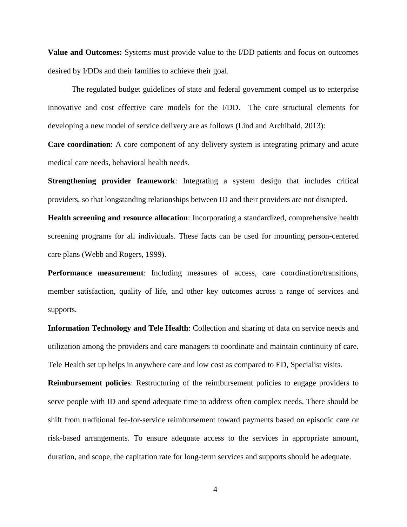**Value and Outcomes:** Systems must provide value to the I/DD patients and focus on outcomes desired by I/DDs and their families to achieve their goal.

The regulated budget guidelines of state and federal government compel us to enterprise innovative and cost effective care models for the I/DD. The core structural elements for developing a new model of service delivery are as follows (Lind and Archibald, 2013):

**Care coordination**: A core component of any delivery system is integrating primary and acute medical care needs, behavioral health needs.

**Strengthening provider framework**: Integrating a system design that includes critical providers, so that longstanding relationships between ID and their providers are not disrupted.

**Health screening and resource allocation**: Incorporating a standardized, comprehensive health screening programs for all individuals. These facts can be used for mounting person-centered care plans (Webb and Rogers, 1999).

**Performance measurement**: Including measures of access, care coordination/transitions, member satisfaction, quality of life, and other key outcomes across a range of services and supports.

**Information Technology and Tele Health**: Collection and sharing of data on service needs and utilization among the providers and care managers to coordinate and maintain continuity of care. Tele Health set up helps in anywhere care and low cost as compared to ED, Specialist visits.

**Reimbursement policies**: Restructuring of the reimbursement policies to engage providers to serve people with ID and spend adequate time to address often complex needs. There should be shift from traditional fee-for-service reimbursement toward payments based on episodic care or risk-based arrangements. To ensure adequate access to the services in appropriate amount, duration, and scope, the capitation rate for long-term services and supports should be adequate.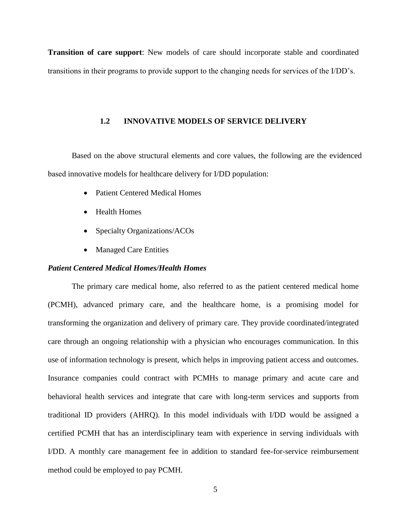<span id="page-11-0"></span>**Transition of care support**: New models of care should incorporate stable and coordinated transitions in their programs to provide support to the changing needs for services of the I/DD's.

#### **1.2 INNOVATIVE MODELS OF SERVICE DELIVERY**

Based on the above structural elements and core values, the following are the evidenced based innovative models for healthcare delivery for I/DD population:

- Patient Centered Medical Homes
- Health Homes
- Specialty Organizations/ACOs
- Managed Care Entities

## *Patient Centered Medical Homes/Health Homes*

The primary care medical home, also referred to as the patient centered medical home (PCMH), advanced primary care, and the healthcare home, is a promising model for transforming the organization and delivery of primary care. They provide coordinated/integrated care through an ongoing relationship with a physician who encourages communication. In this use of information technology is present, which helps in improving patient access and outcomes. Insurance companies could contract with PCMHs to manage primary and acute care and behavioral health services and integrate that care with long-term services and supports from traditional ID providers (AHRQ). In this model individuals with I/DD would be assigned a certified PCMH that has an interdisciplinary team with experience in serving individuals with I/DD. A monthly care management fee in addition to standard fee-for-service reimbursement method could be employed to pay PCMH.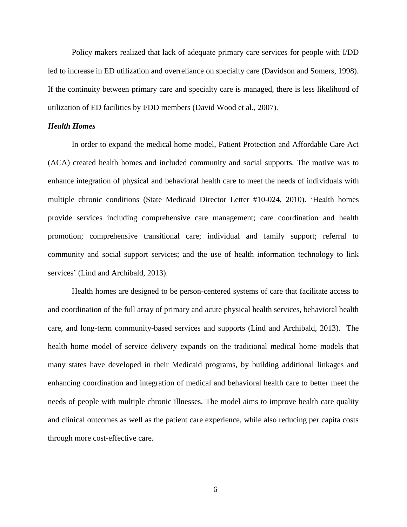Policy makers realized that lack of adequate primary care services for people with I/DD led to increase in ED utilization and overreliance on specialty care (Davidson and Somers, 1998). If the continuity between primary care and specialty care is managed, there is less likelihood of utilization of ED facilities by I/DD members (David Wood et al., 2007).

#### *Health Homes*

In order to expand the medical home model, Patient Protection and Affordable Care Act (ACA) created health homes and included community and social supports. The motive was to enhance integration of physical and behavioral health care to meet the needs of individuals with multiple chronic conditions (State Medicaid Director Letter #10-024, 2010). 'Health homes provide services including comprehensive care management; care coordination and health promotion; comprehensive transitional care; individual and family support; referral to community and social support services; and the use of health information technology to link services' (Lind and Archibald, 2013).

Health homes are designed to be person-centered systems of care that facilitate access to and coordination of the full array of primary and acute physical health services, behavioral health care, and long-term community-based services and supports (Lind and Archibald, 2013). The health home model of service delivery expands on the traditional medical home models that many states have developed in their Medicaid programs, by building additional linkages and enhancing coordination and integration of medical and behavioral health care to better meet the needs of people with multiple chronic illnesses. The model aims to improve health care quality and clinical outcomes as well as the patient care experience, while also reducing per capita costs through more cost-effective care.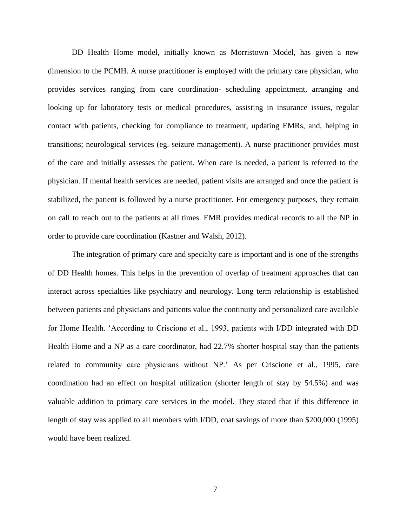DD Health Home model, initially known as Morristown Model, has given a new dimension to the PCMH. A nurse practitioner is employed with the primary care physician, who provides services ranging from care coordination- scheduling appointment, arranging and looking up for laboratory tests or medical procedures, assisting in insurance issues, regular contact with patients, checking for compliance to treatment, updating EMRs, and, helping in transitions; neurological services (eg. seizure management). A nurse practitioner provides most of the care and initially assesses the patient. When care is needed, a patient is referred to the physician. If mental health services are needed, patient visits are arranged and once the patient is stabilized, the patient is followed by a nurse practitioner. For emergency purposes, they remain on call to reach out to the patients at all times. EMR provides medical records to all the NP in order to provide care coordination (Kastner and Walsh, 2012).

The integration of primary care and specialty care is important and is one of the strengths of DD Health homes. This helps in the prevention of overlap of treatment approaches that can interact across specialties like psychiatry and neurology. Long term relationship is established between patients and physicians and patients value the continuity and personalized care available for Home Health. 'According to Criscione et al., 1993, patients with I/DD integrated with DD Health Home and a NP as a care coordinator, had 22.7% shorter hospital stay than the patients related to community care physicians without NP.' As per Criscione et al., 1995, care coordination had an effect on hospital utilization (shorter length of stay by 54.5%) and was valuable addition to primary care services in the model. They stated that if this difference in length of stay was applied to all members with I/DD, coat savings of more than \$200,000 (1995) would have been realized.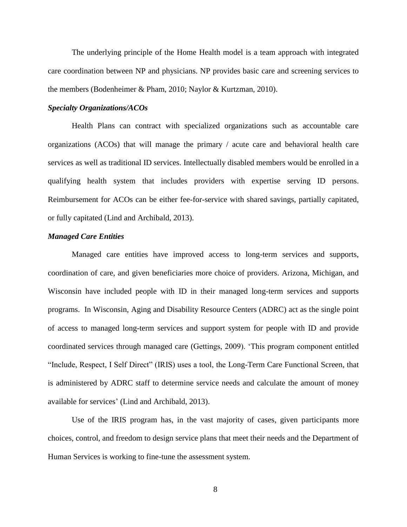The underlying principle of the Home Health model is a team approach with integrated care coordination between NP and physicians. NP provides basic care and screening services to the members (Bodenheimer & Pham, 2010; Naylor & Kurtzman, 2010).

#### *Specialty Organizations/ACOs*

Health Plans can contract with specialized organizations such as accountable care organizations (ACOs) that will manage the primary / acute care and behavioral health care services as well as traditional ID services. Intellectually disabled members would be enrolled in a qualifying health system that includes providers with expertise serving ID persons. Reimbursement for ACOs can be either fee-for-service with shared savings, partially capitated, or fully capitated (Lind and Archibald, 2013).

#### *Managed Care Entities*

Managed care entities have improved access to long-term services and supports, coordination of care, and given beneficiaries more choice of providers. Arizona, Michigan, and Wisconsin have included people with ID in their managed long-term services and supports programs. In Wisconsin, Aging and Disability Resource Centers (ADRC) act as the single point of access to managed long-term services and support system for people with ID and provide coordinated services through managed care (Gettings, 2009). 'This program component entitled "Include, Respect, I Self Direct" (IRIS) uses a tool, the Long-Term Care Functional Screen, that is administered by ADRC staff to determine service needs and calculate the amount of money available for services' (Lind and Archibald, 2013).

Use of the IRIS program has, in the vast majority of cases, given participants more choices, control, and freedom to design service plans that meet their needs and the Department of Human Services is working to fine-tune the assessment system.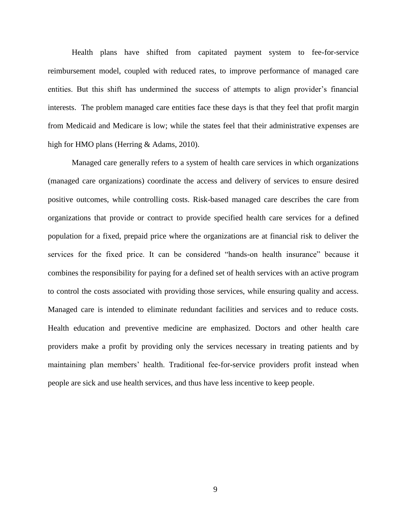Health plans have shifted from capitated payment system to fee-for-service reimbursement model, coupled with reduced rates, to improve performance of managed care entities. But this shift has undermined the success of attempts to align provider's financial interests. The problem managed care entities face these days is that they feel that profit margin from Medicaid and Medicare is low; while the states feel that their administrative expenses are high for HMO plans (Herring & Adams, 2010).

Managed care generally refers to a system of health care services in which organizations (managed care organizations) coordinate the access and delivery of services to ensure desired positive outcomes, while controlling costs. Risk-based managed care describes the care from organizations that provide or contract to provide specified health care services for a defined population for a fixed, prepaid price where the organizations are at financial risk to deliver the services for the fixed price. It can be considered "hands-on health insurance" because it combines the responsibility for paying for a defined set of health services with an active program to control the costs associated with providing those services, while ensuring quality and access. Managed care is intended to eliminate redundant facilities and services and to reduce costs. Health education and preventive medicine are emphasized. Doctors and other health care providers make a profit by providing only the services necessary in treating patients and by maintaining plan members' health. Traditional fee-for-service providers profit instead when people are sick and use health services, and thus have less incentive to keep people.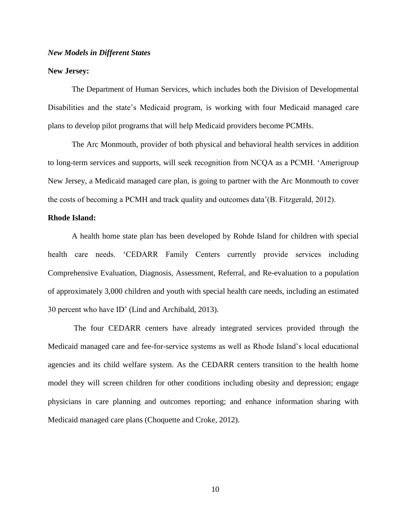#### *New Models in Different States*

#### **New Jersey:**

The Department of Human Services, which includes both the Division of Developmental Disabilities and the state's Medicaid program, is working with four Medicaid managed care plans to develop pilot programs that will help Medicaid providers become PCMHs.

The Arc Monmouth, provider of both physical and behavioral health services in addition to long-term services and supports, will seek recognition from NCQA as a PCMH. 'Amerigroup New Jersey, a Medicaid managed care plan, is going to partner with the Arc Monmouth to cover the costs of becoming a PCMH and track quality and outcomes data'(B. Fitzgerald, 2012).

#### **Rhode Island:**

A health home state plan has been developed by Rohde Island for children with special health care needs. 'CEDARR Family Centers currently provide services including Comprehensive Evaluation, Diagnosis, Assessment, Referral, and Re-evaluation to a population of approximately 3,000 children and youth with special health care needs, including an estimated 30 percent who have ID' (Lind and Archibald, 2013).

The four CEDARR centers have already integrated services provided through the Medicaid managed care and fee-for-service systems as well as Rhode Island's local educational agencies and its child welfare system. As the CEDARR centers transition to the health home model they will screen children for other conditions including obesity and depression; engage physicians in care planning and outcomes reporting; and enhance information sharing with Medicaid managed care plans (Choquette and Croke, 2012).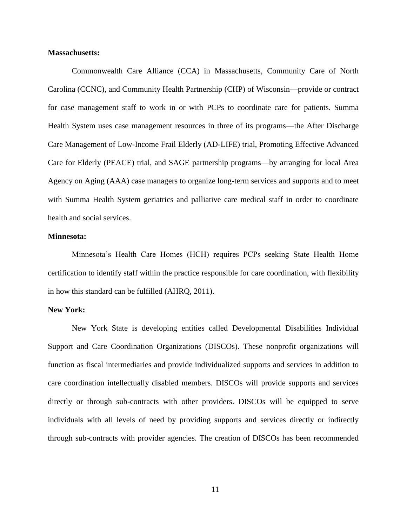#### **Massachusetts:**

Commonwealth Care Alliance (CCA) in Massachusetts, Community Care of North Carolina (CCNC), and Community Health Partnership (CHP) of Wisconsin—provide or contract for case management staff to work in or with PCPs to coordinate care for patients. Summa Health System uses case management resources in three of its programs—the After Discharge Care Management of Low-Income Frail Elderly (AD-LIFE) trial, Promoting Effective Advanced Care for Elderly (PEACE) trial, and SAGE partnership programs—by arranging for local Area Agency on Aging (AAA) case managers to organize long-term services and supports and to meet with Summa Health System geriatrics and palliative care medical staff in order to coordinate health and social services.

#### **Minnesota:**

Minnesota's Health Care Homes (HCH) requires PCPs seeking State Health Home certification to identify staff within the practice responsible for care coordination, with flexibility in how this standard can be fulfilled (AHRQ, 2011).

#### **New York:**

New York State is developing entities called Developmental Disabilities Individual Support and Care Coordination Organizations (DISCOs). These nonprofit organizations will function as fiscal intermediaries and provide individualized supports and services in addition to care coordination intellectually disabled members. DISCOs will provide supports and services directly or through sub-contracts with other providers. DISCOs will be equipped to serve individuals with all levels of need by providing supports and services directly or indirectly through sub-contracts with provider agencies. The creation of DISCOs has been recommended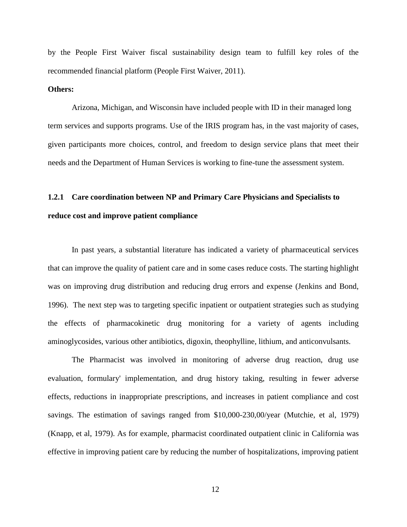by the People First Waiver fiscal sustainability design team to fulfill key roles of the recommended financial platform (People First Waiver, 2011).

#### **Others:**

Arizona, Michigan, and Wisconsin have included people with ID in their managed long term services and supports programs. Use of the IRIS program has, in the vast majority of cases, given participants more choices, control, and freedom to design service plans that meet their needs and the Department of Human Services is working to fine-tune the assessment system.

# <span id="page-18-0"></span>**1.2.1 Care coordination between NP and Primary Care Physicians and Specialists to reduce cost and improve patient compliance**

In past years, a substantial literature has indicated a variety of pharmaceutical services that can improve the quality of patient care and in some cases reduce costs. The starting highlight was on improving drug distribution and reducing drug errors and expense (Jenkins and Bond, 1996). The next step was to targeting specific inpatient or outpatient strategies such as studying the effects of pharmacokinetic drug monitoring for a variety of agents including aminoglycosides, various other antibiotics, digoxin, theophylline, lithium, and anticonvulsants.

The Pharmacist was involved in monitoring of adverse drug reaction, drug use evaluation, formulary' implementation, and drug history taking, resulting in fewer adverse effects, reductions in inappropriate prescriptions, and increases in patient compliance and cost savings. The estimation of savings ranged from \$10,000-230,00/year (Mutchie, et al, 1979) (Knapp, et al, 1979). As for example, pharmacist coordinated outpatient clinic in California was effective in improving patient care by reducing the number of hospitalizations, improving patient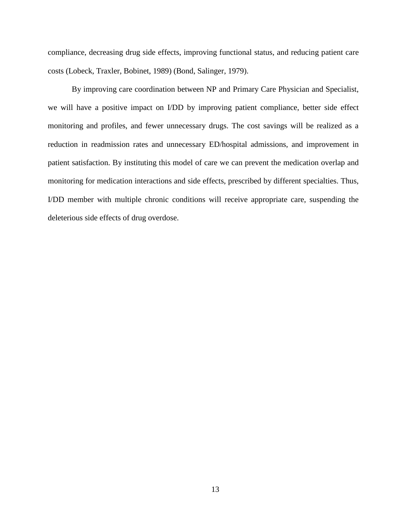compliance, decreasing drug side effects, improving functional status, and reducing patient care costs (Lobeck, Traxler, Bobinet, 1989) (Bond, Salinger, 1979).

By improving care coordination between NP and Primary Care Physician and Specialist, we will have a positive impact on I/DD by improving patient compliance, better side effect monitoring and profiles, and fewer unnecessary drugs. The cost savings will be realized as a reduction in readmission rates and unnecessary ED/hospital admissions, and improvement in patient satisfaction. By instituting this model of care we can prevent the medication overlap and monitoring for medication interactions and side effects, prescribed by different specialties. Thus, I/DD member with multiple chronic conditions will receive appropriate care, suspending the deleterious side effects of drug overdose.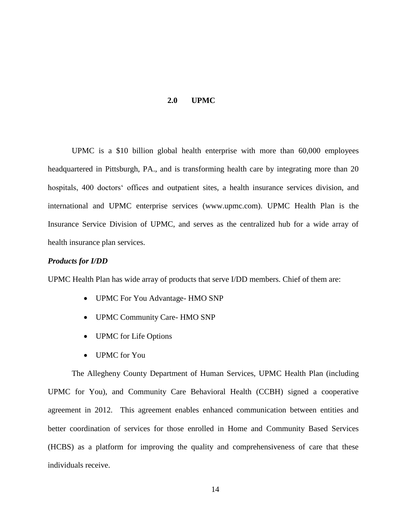#### **2.0 UPMC**

<span id="page-20-0"></span>UPMC is a \$10 billion global health enterprise with more than 60,000 employees headquartered in Pittsburgh, PA., and is transforming health care by integrating more than 20 hospitals, 400 doctors' offices and outpatient sites, a health insurance services division, and international and UPMC enterprise services (www.upmc.com). UPMC Health Plan is the Insurance Service Division of UPMC, and serves as the centralized hub for a wide array of health insurance plan services.

## *Products for I/DD*

UPMC Health Plan has wide array of products that serve I/DD members. Chief of them are:

- UPMC For You Advantage- HMO SNP
- UPMC Community Care- HMO SNP
- UPMC for Life Options
- UPMC for You

The Allegheny County Department of Human Services, UPMC Health Plan (including UPMC for You), and Community Care Behavioral Health (CCBH) signed a cooperative agreement in 2012. This agreement enables enhanced communication between entities and better coordination of services for those enrolled in Home and Community Based Services (HCBS) as a platform for improving the quality and comprehensiveness of care that these individuals receive.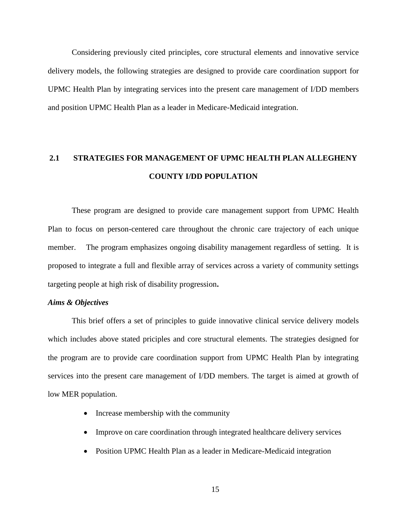Considering previously cited principles, core structural elements and innovative service delivery models, the following strategies are designed to provide care coordination support for UPMC Health Plan by integrating services into the present care management of I/DD members and position UPMC Health Plan as a leader in Medicare-Medicaid integration.

# <span id="page-21-0"></span>**2.1 STRATEGIES FOR MANAGEMENT OF UPMC HEALTH PLAN ALLEGHENY COUNTY I/DD POPULATION**

These program are designed to provide care management support from UPMC Health Plan to focus on person-centered care throughout the chronic care trajectory of each unique member. The program emphasizes ongoing disability management regardless of setting. It is proposed to integrate a full and flexible array of services across a variety of community settings targeting people at high risk of disability progression**.**

#### *Aims & Objectives*

This brief offers a set of principles to guide innovative clinical service delivery models which includes above stated priciples and core structural elements. The strategies designed for the program are to provide care coordination support from UPMC Health Plan by integrating services into the present care management of I/DD members. The target is aimed at growth of low MER population.

- Increase membership with the community
- Improve on care coordination through integrated healthcare delivery services
- Position UPMC Health Plan as a leader in Medicare-Medicaid integration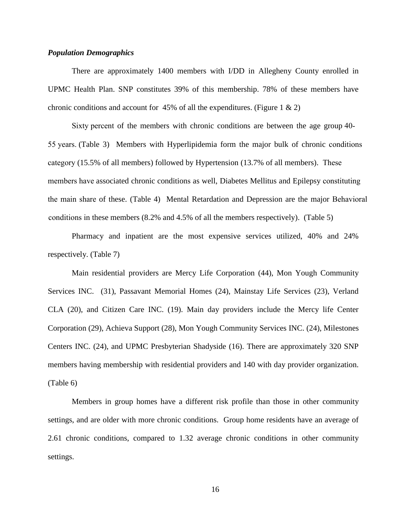#### *Population Demographics*

There are approximately 1400 members with I/DD in Allegheny County enrolled in UPMC Health Plan. SNP constitutes 39% of this membership. 78% of these members have chronic conditions and account for 45% of all the expenditures. (Figure 1  $\&$  2)

Sixty percent of the members with chronic conditions are between the age group 40- 55 years. (Table 3) Members with Hyperlipidemia form the major bulk of chronic conditions category (15.5% of all members) followed by Hypertension (13.7% of all members). These members have associated chronic conditions as well, Diabetes Mellitus and Epilepsy constituting the main share of these. (Table 4) Mental Retardation and Depression are the major Behavioral conditions in these members (8.2% and 4.5% of all the members respectively). (Table 5)

Pharmacy and inpatient are the most expensive services utilized, 40% and 24% respectively. (Table 7)

Main residential providers are Mercy Life Corporation (44), Mon Yough Community Services INC. (31), Passavant Memorial Homes (24), Mainstay Life Services (23), Verland CLA (20), and Citizen Care INC. (19). Main day providers include the Mercy life Center Corporation (29), Achieva Support (28), Mon Yough Community Services INC. (24), Milestones Centers INC. (24), and UPMC Presbyterian Shadyside (16). There are approximately 320 SNP members having membership with residential providers and 140 with day provider organization. (Table 6)

Members in group homes have a different risk profile than those in other community settings, and are older with more chronic conditions. Group home residents have an average of 2.61 chronic conditions, compared to 1.32 average chronic conditions in other community settings.

16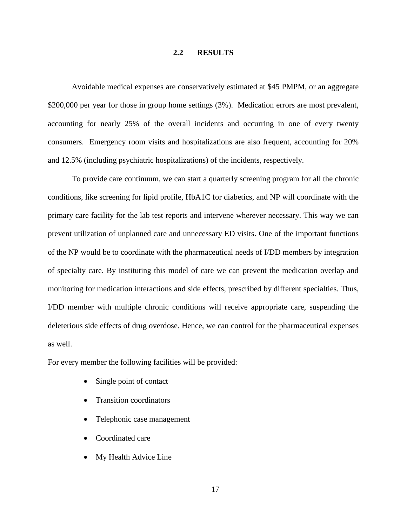#### **2.2 RESULTS**

<span id="page-23-0"></span>Avoidable medical expenses are conservatively estimated at \$45 PMPM, or an aggregate \$200,000 per year for those in group home settings (3%). Medication errors are most prevalent, accounting for nearly 25% of the overall incidents and occurring in one of every twenty consumers. Emergency room visits and hospitalizations are also frequent, accounting for 20% and 12.5% (including psychiatric hospitalizations) of the incidents, respectively.

To provide care continuum, we can start a quarterly screening program for all the chronic conditions, like screening for lipid profile, HbA1C for diabetics, and NP will coordinate with the primary care facility for the lab test reports and intervene wherever necessary. This way we can prevent utilization of unplanned care and unnecessary ED visits. One of the important functions of the NP would be to coordinate with the pharmaceutical needs of I/DD members by integration of specialty care. By instituting this model of care we can prevent the medication overlap and monitoring for medication interactions and side effects, prescribed by different specialties. Thus, I/DD member with multiple chronic conditions will receive appropriate care, suspending the deleterious side effects of drug overdose. Hence, we can control for the pharmaceutical expenses as well.

For every member the following facilities will be provided:

- Single point of contact
- Transition coordinators
- Telephonic case management
- Coordinated care
- My Health Advice Line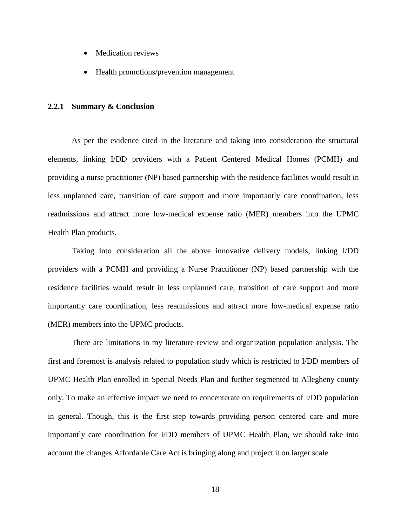- Medication reviews
- Health promotions/prevention management

#### <span id="page-24-0"></span>**2.2.1 Summary & Conclusion**

As per the evidence cited in the literature and taking into consideration the structural elements, linking I/DD providers with a Patient Centered Medical Homes (PCMH) and providing a nurse practitioner (NP) based partnership with the residence facilities would result in less unplanned care, transition of care support and more importantly care coordination, less readmissions and attract more low-medical expense ratio (MER) members into the UPMC Health Plan products.

Taking into consideration all the above innovative delivery models, linking I/DD providers with a PCMH and providing a Nurse Practitioner (NP) based partnership with the residence facilities would result in less unplanned care, transition of care support and more importantly care coordination, less readmissions and attract more low-medical expense ratio (MER) members into the UPMC products.

There are limitations in my literature review and organization population analysis. The first and foremost is analysis related to population study which is restricted to I/DD members of UPMC Health Plan enrolled in Special Needs Plan and further segmented to Allegheny county only. To make an effective impact we need to concenterate on requirements of I/DD population in general. Though, this is the first step towards providing person centered care and more importantly care coordination for I/DD members of UPMC Health Plan, we should take into account the changes Affordable Care Act is bringing along and project it on larger scale.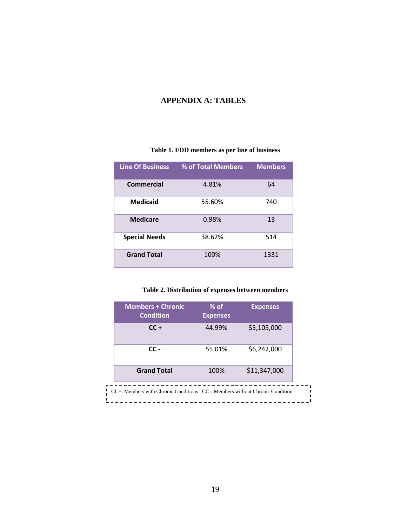# <span id="page-25-0"></span>**APPENDIX A: TABLES**

# **Table 1. I/DD members as per line of business**

<span id="page-25-1"></span>

| <b>Line Of Business</b> | % of Total Members | <b>Members</b> |
|-------------------------|--------------------|----------------|
| Commercial              | 4.81%              | 64             |
| <b>Medicaid</b>         | 55.60%             | 740            |
| <b>Medicare</b>         | 0.98%              | 13             |
| <b>Special Needs</b>    | 38.62%             | 514            |
| <b>Grand Total</b>      | 100%               | 1331           |

**Table 2. Distribution of expenses between members**

<span id="page-25-2"></span>

| <b>Members + Chronic</b><br><b>Condition</b> | $%$ of<br><b>Expenses</b> | <b>Expenses</b> |
|----------------------------------------------|---------------------------|-----------------|
| $CC +$                                       | 44.99%                    | \$5,105,000     |
| $cc -$                                       | 55.01%                    | \$6,242,000     |
| <b>Grand Total</b>                           | 100%                      | \$11,347,000    |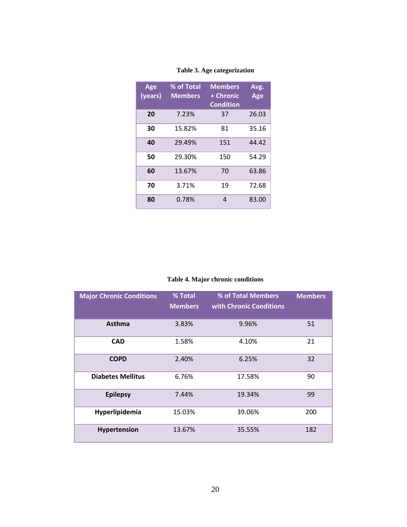<span id="page-26-0"></span>

| Age<br>(years) | % of Total<br><b>Members</b> | <b>Members</b><br>+ Chronic<br><b>Condition</b> | Avg.<br>Age |
|----------------|------------------------------|-------------------------------------------------|-------------|
| 20             | 7.23%                        | 37                                              | 26.03       |
| 30             | 15.82%                       | 81                                              | 35.16       |
| 40             | 29.49%                       | 151                                             | 44.42       |
| 50             | 29.30%                       | 150                                             | 54.29       |
| 60             | 13.67%                       | 70                                              | 63.86       |
| 70             | 3.71%                        | 19                                              | 72.68       |
| 80             | 0.78%                        | 4                                               | 83.00       |

# **Table 3. Age categorization**

**Table 4. Major chronic conditions**

<span id="page-26-1"></span>

| <b>Major Chronic Conditions</b> | % Total<br><b>Members</b> | % of Total Members<br>with Chronic Conditions | <b>Members</b> |
|---------------------------------|---------------------------|-----------------------------------------------|----------------|
| <b>Asthma</b>                   | 3.83%                     | 9.96%                                         | 51             |
| <b>CAD</b>                      | 1.58%                     | 4.10%                                         | 21             |
| <b>COPD</b>                     | 2.40%                     | 6.25%                                         | 32             |
| <b>Diabetes Mellitus</b>        | 6.76%                     | 17.58%                                        | 90             |
| <b>Epilepsy</b>                 | 7.44%                     | 19.34%                                        | 99             |
| Hyperlipidemia                  | 15.03%                    | 39.06%                                        | 200            |
| Hypertension                    | 13.67%                    | 35.55%                                        | 182            |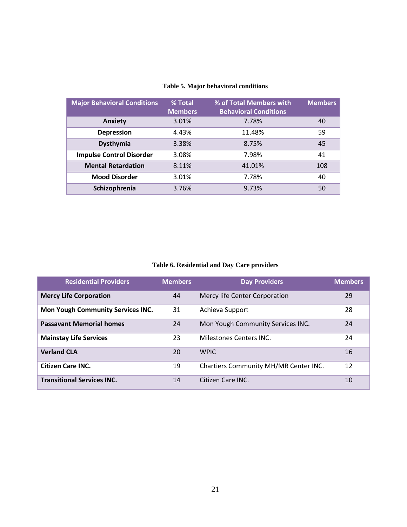<span id="page-27-0"></span>

| <b>Major Behavioral Conditions</b> | % Total<br><b>Members</b> | % of Total Members with<br><b>Behavioral Conditions</b> | <b>Members</b> |
|------------------------------------|---------------------------|---------------------------------------------------------|----------------|
| <b>Anxiety</b>                     | 3.01%                     | 7.78%                                                   | 40             |
| <b>Depression</b>                  | 4.43%                     | 11.48%                                                  | 59             |
| Dysthymia                          | 3.38%                     | 8.75%                                                   | 45             |
| <b>Impulse Control Disorder</b>    | 3.08%                     | 7.98%                                                   | 41             |
| <b>Mental Retardation</b>          | 8.11%                     | 41.01%                                                  | 108            |
| <b>Mood Disorder</b>               | 3.01%                     | 7.78%                                                   | 40             |
| Schizophrenia                      | 3.76%                     | 9.73%                                                   | 50             |

# **Table 5. Major behavioral conditions**

**Table 6. Residential and Day Care providers**

<span id="page-27-1"></span>

| <b>Residential Providers</b>      | <b>Members</b> | <b>Day Providers</b>                  | <b>Members</b> |
|-----------------------------------|----------------|---------------------------------------|----------------|
| <b>Mercy Life Corporation</b>     | 44             | Mercy life Center Corporation         | 29             |
| Mon Yough Community Services INC. | 31             | Achieva Support                       | 28             |
| <b>Passavant Memorial homes</b>   | 24             | Mon Yough Community Services INC.     | 24             |
| <b>Mainstay Life Services</b>     | 23             | Milestones Centers INC.               | 24             |
| <b>Verland CLA</b>                | 20             | <b>WPIC</b>                           | 16             |
| <b>Citizen Care INC.</b>          | 19             | Chartiers Community MH/MR Center INC. | 12             |
| <b>Transitional Services INC.</b> | 14             | Citizen Care INC.                     | 10             |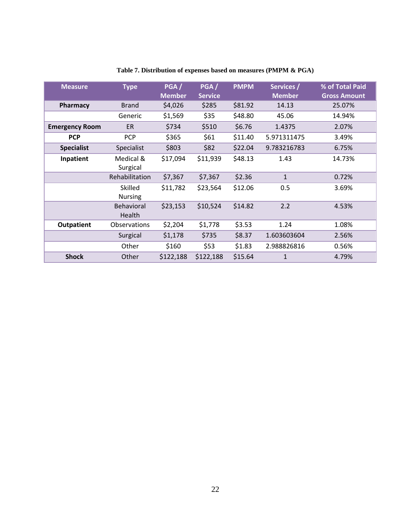<span id="page-28-0"></span>

| <b>Measure</b>        | <b>Type</b>                 | PGA/<br><b>Member</b> | PGA/<br><b>Service</b> | <b>PMPM</b> | Services /<br><b>Member</b> | % of Total Paid<br><b>Gross Amount</b> |
|-----------------------|-----------------------------|-----------------------|------------------------|-------------|-----------------------------|----------------------------------------|
| Pharmacy              | <b>Brand</b>                | \$4,026               | \$285                  | \$81.92     | 14.13                       | 25.07%                                 |
|                       | Generic                     | \$1,569               | \$35                   | \$48.80     | 45.06                       | 14.94%                                 |
| <b>Emergency Room</b> | ER                          | \$734                 | \$510                  | \$6.76      | 1.4375                      | 2.07%                                  |
| <b>PCP</b>            | <b>PCP</b>                  | \$365                 | \$61                   | \$11.40     | 5.971311475                 | 3.49%                                  |
| <b>Specialist</b>     | Specialist                  | \$803                 | \$82                   | \$22.04     | 9.783216783                 | 6.75%                                  |
| Inpatient             | Medical &<br>Surgical       | \$17,094              | \$11,939               | \$48.13     | 1.43                        | 14.73%                                 |
|                       | Rehabilitation              | \$7,367               | \$7,367                | \$2.36      | $\mathbf{1}$                | 0.72%                                  |
|                       | Skilled<br><b>Nursing</b>   | \$11,782              | \$23,564               | \$12.06     | 0.5                         | 3.69%                                  |
|                       | <b>Behavioral</b><br>Health | \$23,153              | \$10,524               | \$14.82     | 2.2                         | 4.53%                                  |
| <b>Outpatient</b>     | <b>Observations</b>         | \$2,204               | \$1,778                | \$3.53      | 1.24                        | 1.08%                                  |
|                       | Surgical                    | \$1,178               | \$735                  | \$8.37      | 1.603603604                 | 2.56%                                  |
|                       | Other                       | \$160                 | \$53                   | \$1.83      | 2.988826816                 | 0.56%                                  |
| <b>Shock</b>          | Other                       | \$122,188             | \$122,188              | \$15.64     | $\mathbf{1}$                | 4.79%                                  |

# **Table 7. Distribution of expenses based on measures (PMPM & PGA)**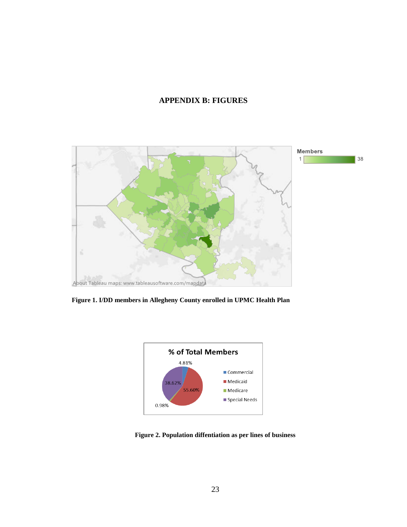# **APPENDIX B: FIGURES**

<span id="page-29-0"></span>

<span id="page-29-1"></span>



<span id="page-29-2"></span>**Figure 2. Population diffentiation as per lines of business**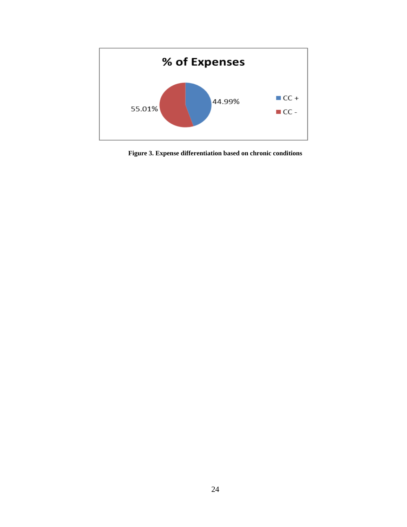

<span id="page-30-0"></span>**Figure 3. Expense differentiation based on chronic conditions**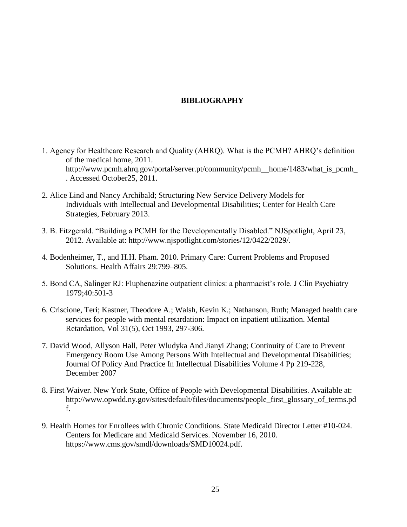# **BIBLIOGRAPHY**

- <span id="page-31-0"></span>1. Agency for Healthcare Research and Quality (AHRQ). What is the PCMH? AHRQ's definition of the medical home, 2011. http://www.pcmh.ahrq.gov/portal/server.pt/community/pcmh\_\_home/1483/what\_is\_pcmh . Accessed October25, 2011.
- 2. Alice Lind and Nancy Archibald; Structuring New Service Delivery Models for Individuals with Intellectual and Developmental Disabilities; Center for Health Care Strategies, February 2013.
- 3. B. Fitzgerald. "Building a PCMH for the Developmentally Disabled." NJSpotlight, April 23, 2012. Available at: http://www.njspotlight.com/stories/12/0422/2029/.
- 4. Bodenheimer, T., and H.H. Pham. 2010. Primary Care: Current Problems and Proposed Solutions. Health Affairs 29:799–805.
- 5. Bond CA, Salinger RJ: Fluphenazine outpatient clinics: a pharmacist's role. J Clin Psychiatry 1979;40:501-3
- 6. Criscione, Teri; Kastner, Theodore A.; Walsh, Kevin K.; Nathanson, Ruth; Managed health care services for people with mental retardation: Impact on inpatient utilization. Mental Retardation, Vol 31(5), Oct 1993, 297-306.
- 7. David Wood, Allyson Hall, Peter Wludyka And Jianyi Zhang; Continuity of Care to Prevent Emergency Room Use Among Persons With Intellectual and Developmental Disabilities; Journal Of Policy And Practice In Intellectual Disabilities Volume 4 Pp 219-228, December 2007
- 8. First Waiver. New York State, Office of People with Developmental Disabilities. Available at: http://www.opwdd.ny.gov/sites/default/files/documents/people\_first\_glossary\_of\_terms.pd f.
- 9. Health Homes for Enrollees with Chronic Conditions. State Medicaid Director Letter #10-024. Centers for Medicare and Medicaid Services. November 16, 2010. https://www.cms.gov/smdl/downloads/SMD10024.pdf.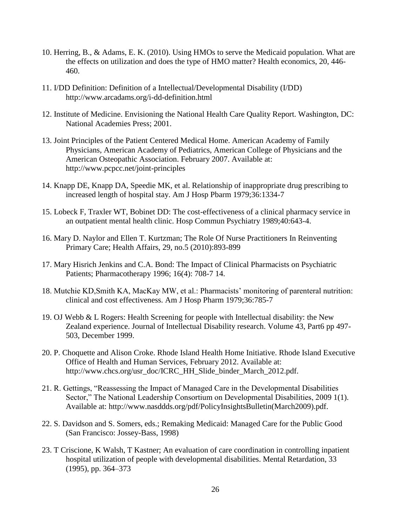- 10. Herring, B., & Adams, E. K. (2010). Using HMOs to serve the Medicaid population. What are the effects on utilization and does the type of HMO matter? Health economics, 20, 446- 460.
- 11. I/DD Definition: Definition of a Intellectual/Developmental Disability (I/DD) http://www.arcadams.org/i-dd-definition.html
- 12. Institute of Medicine. Envisioning the National Health Care Quality Report. Washington, DC: National Academies Press; 2001.
- 13. Joint Principles of the Patient Centered Medical Home. American Academy of Family Physicians, American Academy of Pediatrics, American College of Physicians and the American Osteopathic Association. February 2007. Available at: http://www.pcpcc.net/joint-principles
- 14. Knapp DE, Knapp DA, Speedie MK, et al. Relationship of inappropriate drug prescribing to increased length of hospital stay. Am J Hosp Pbarm 1979;36:1334-7
- 15. Lobeck F, Traxler WT, Bobinet DD: The cost-effectiveness of a clinical pharmacy service in an outpatient mental health clinic. Hosp Commun Psychiatry 1989;40:643-4.
- 16. Mary D. Naylor and Ellen T. Kurtzman; The Role Of Nurse Practitioners In Reinventing Primary Care; Health Affairs, 29, no.5 (2010):893-899
- 17. Mary Hisrich Jenkins and C.A. Bond: The Impact of Clinical Pharmacists on Psychiatric Patients; Pharmacotherapy 1996; 16(4): 708-7 14.
- 18. Mutchie KD,Smith KA, MacKay MW, et al.: Pharmacists' monitoring of parenteral nutrition: clinical and cost effectiveness. Am J Hosp Pharm 1979;36:785-7
- 19. OJ Webb & L Rogers: Health Screening for people with Intellectual disability: the New Zealand experience. Journal of Intellectual Disability research. Volume 43, Part6 pp 497- 503, December 1999.
- 20. P. Choquette and Alison Croke. Rhode Island Health Home Initiative. Rhode Island Executive Office of Health and Human Services, February 2012. Available at: http://www.chcs.org/usr\_doc/ICRC\_HH\_Slide\_binder\_March\_2012.pdf.
- 21. R. Gettings, "Reassessing the Impact of Managed Care in the Developmental Disabilities Sector," The National Leadership Consortium on Developmental Disabilities, 2009 1(1). Available at: http://www.nasddds.org/pdf/PolicyInsightsBulletin(March2009).pdf.
- 22. S. Davidson and S. Somers, eds.; Remaking Medicaid: Managed Care for the Public Good (San Francisco: Jossey-Bass, 1998)
- 23. T Criscione, K Walsh, T Kastner; An evaluation of care coordination in controlling inpatient hospital utilization of people with developmental disabilities. Mental Retardation, 33 (1995), pp. 364–373